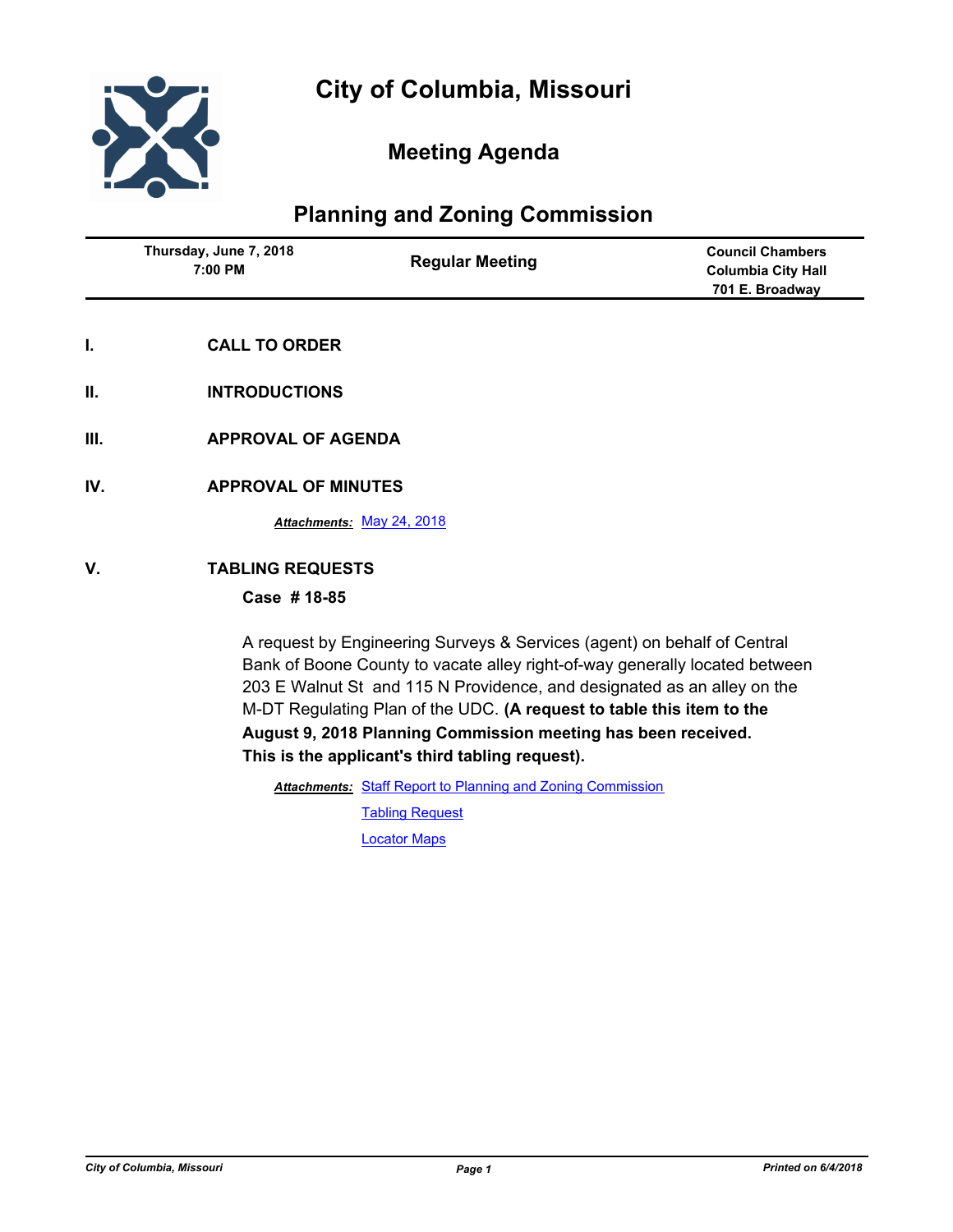

# **Meeting Agenda**

# **Planning and Zoning Commission**

| Thursday, June 7, 2018<br>7:00 PM | <b>Regular Meeting</b> | <b>Council Chambers</b><br><b>Columbia City Hall</b><br>701 E. Broadway |
|-----------------------------------|------------------------|-------------------------------------------------------------------------|
|                                   |                        |                                                                         |

- **I. CALL TO ORDER**
- **II. INTRODUCTIONS**
- **III. APPROVAL OF AGENDA**
- **IV. APPROVAL OF MINUTES**

*Attachments:* [May 24, 2018](http://gocolumbiamo.legistar.com/gateway.aspx?M=F&ID=38951460-ee52-41ad-aeef-eb4d60a3a870.docx)

# **V. TABLING REQUESTS**

# **Case # 18-85**

A request by Engineering Surveys & Services (agent) on behalf of Central Bank of Boone County to vacate alley right-of-way generally located between 203 E Walnut St and 115 N Providence, and designated as an alley on the M-DT Regulating Plan of the UDC. **(A request to table this item to the August 9, 2018 Planning Commission meeting has been received. This is the applicant's third tabling request).**

Attachments: [Staff Report to Planning and Zoning Commission](http://gocolumbiamo.legistar.com/gateway.aspx?M=F&ID=bf6dfe7c-21eb-45f9-97a1-2f78d80eac32.docx)

[Tabling Request](http://gocolumbiamo.legistar.com/gateway.aspx?M=F&ID=a9953533-ca87-4da9-9cd8-7983769ec8b1.pdf) [Locator Maps](http://gocolumbiamo.legistar.com/gateway.aspx?M=F&ID=f694f3fe-4ca4-4d0b-bbea-78117f42ad95.pdf)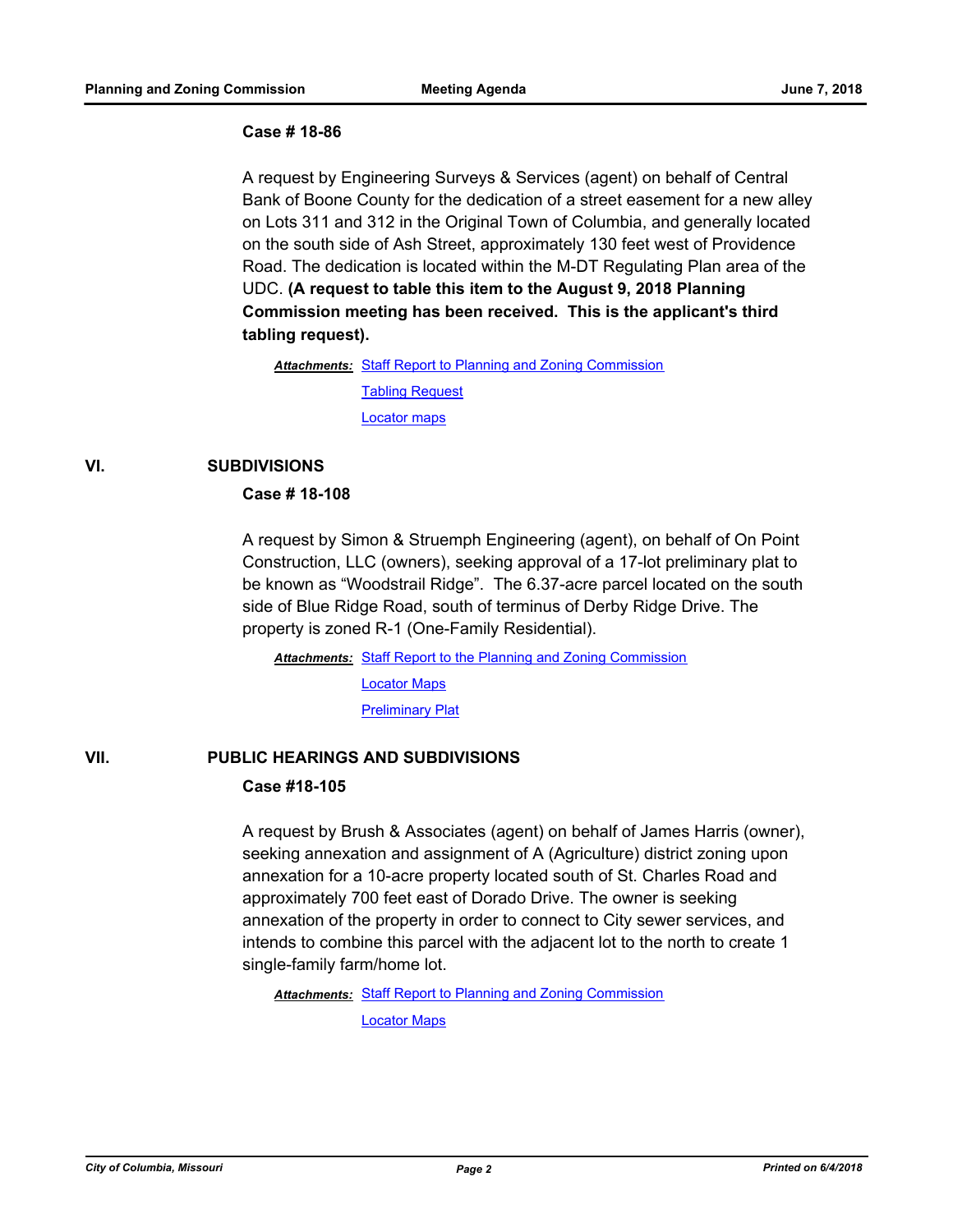#### **Case # 18-86**

A request by Engineering Surveys & Services (agent) on behalf of Central Bank of Boone County for the dedication of a street easement for a new alley on Lots 311 and 312 in the Original Town of Columbia, and generally located on the south side of Ash Street, approximately 130 feet west of Providence Road. The dedication is located within the M-DT Regulating Plan area of the UDC. **(A request to table this item to the August 9, 2018 Planning Commission meeting has been received. This is the applicant's third tabling request).**

Attachments: [Staff Report to Planning and Zoning Commission](http://gocolumbiamo.legistar.com/gateway.aspx?M=F&ID=3c8788d9-06c5-4b61-b8b0-a06c35219932.docx)

[Tabling Request](http://gocolumbiamo.legistar.com/gateway.aspx?M=F&ID=f1131497-3490-4660-af53-ec1661be198e.pdf)

[Locator maps](http://gocolumbiamo.legistar.com/gateway.aspx?M=F&ID=d531dfec-7697-4d87-aed7-89bc53c9ce1b.pdf)

# **VI. SUBDIVISIONS**

#### **Case # 18-108**

A request by Simon & Struemph Engineering (agent), on behalf of On Point Construction, LLC (owners), seeking approval of a 17-lot preliminary plat to be known as "Woodstrail Ridge". The 6.37-acre parcel located on the south side of Blue Ridge Road, south of terminus of Derby Ridge Drive. The property is zoned R-1 (One-Family Residential).

Attachments: [Staff Report to the Planning and Zoning Commission](http://gocolumbiamo.legistar.com/gateway.aspx?M=F&ID=cf226dc9-f6dc-465f-b866-2f5e4f12c095.docx) [Locator Maps](http://gocolumbiamo.legistar.com/gateway.aspx?M=F&ID=144d70d8-2413-4818-b53e-5305fb47f071.pdf) [Preliminary Plat](http://gocolumbiamo.legistar.com/gateway.aspx?M=F&ID=19acd35b-73e9-4049-97fc-556d3d240cb1.pdf)

# **VII. PUBLIC HEARINGS AND SUBDIVISIONS**

# **Case #18-105**

A request by Brush & Associates (agent) on behalf of James Harris (owner), seeking annexation and assignment of A (Agriculture) district zoning upon annexation for a 10-acre property located south of St. Charles Road and approximately 700 feet east of Dorado Drive. The owner is seeking annexation of the property in order to connect to City sewer services, and intends to combine this parcel with the adjacent lot to the north to create 1 single-family farm/home lot.

Attachments: [Staff Report to Planning and Zoning Commission](http://gocolumbiamo.legistar.com/gateway.aspx?M=F&ID=437532db-4296-4a27-8786-7163ffa01e2b.docx)

[Locator Maps](http://gocolumbiamo.legistar.com/gateway.aspx?M=F&ID=5d3b3f7f-f8b1-418c-8c67-0cceacdd9622.pdf)